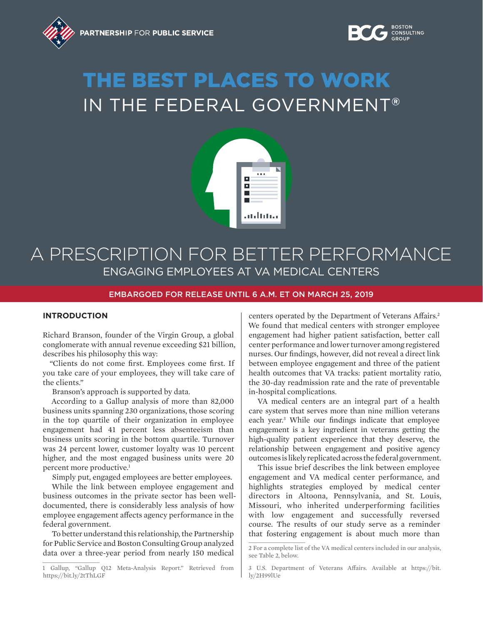

# THE BEST PLACES TO WORK IN THE FEDERAL GOVERNMENT®



### A PRESCRIPTION FOR BETTER PERFORMANCE ENGAGING EMPLOYEES AT VA MEDICAL CENTERS

#### EMBARGOED FOR RELEASE UNTIL 6 A.M. ET ON MARCH 25, 2019

#### **INTRODUCTION**

Richard Branson, founder of the Virgin Group, a global conglomerate with annual revenue exceeding \$21 billion, describes his philosophy this way:

"Clients do not come first. Employees come first. If you take care of your employees, they will take care of the clients."

Branson's approach is supported by data.

According to a Gallup analysis of more than 82,000 business units spanning 230 organizations, those scoring in the top quartile of their organization in employee engagement had 41 percent less absenteeism than business units scoring in the bottom quartile. Turnover was 24 percent lower, customer loyalty was 10 percent higher, and the most engaged business units were 20 percent more productive.<sup>1</sup>

Simply put, engaged employees are better employees.

While the link between employee engagement and business outcomes in the private sector has been welldocumented, there is considerably less analysis of how employee engagement affects agency performance in the federal government.

To better understand this relationship, the Partnership for Public Service and Boston Consulting Group analyzed data over a three-year period from nearly 150 medical

centers operated by the Department of Veterans Affairs.<sup>2</sup> We found that medical centers with stronger employee engagement had higher patient satisfaction, better call center performance and lower turnover among registered nurses. Our findings, however, did not reveal a direct link between employee engagement and three of the patient health outcomes that VA tracks: patient mortality ratio, the 30-day readmission rate and the rate of preventable in-hospital complications.

VA medical centers are an integral part of a health care system that serves more than nine million veterans each year.<sup>3</sup> While our findings indicate that employee engagement is a key ingredient in veterans getting the high-quality patient experience that they deserve, the relationship between engagement and positive agency outcomes is likely replicated across the federal government.

This issue brief describes the link between employee engagement and VA medical center performance, and highlights strategies employed by medical center directors in Altoona, Pennsylvania, and St. Louis, Missouri, who inherited underperforming facilities with low engagement and successfully reversed course. The results of our study serve as a reminder that fostering engagement is about much more than

<sup>1</sup> Gallup, "Gallup Q12 Meta-Analysis Report." Retrieved from https://bit.ly/2tThLGF

<sup>2</sup> For a complete list of the VA medical centers included in our analysis, see Table 2, below.

<sup>3</sup> U.S. Department of Veterans Affairs. Available at https://bit. ly/2H99lUe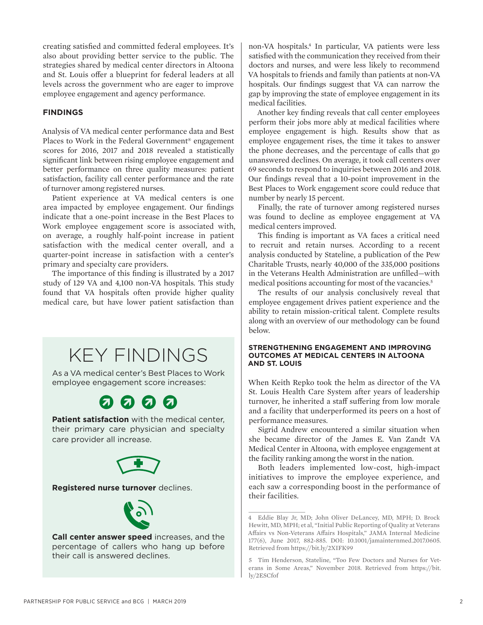creating satisfied and committed federal employees. It's also about providing better service to the public. The strategies shared by medical center directors in Altoona and St. Louis offer a blueprint for federal leaders at all levels across the government who are eager to improve employee engagement and agency performance.

#### **FINDINGS**

Analysis of VA medical center performance data and Best Places to Work in the Federal Government® engagement scores for 2016, 2017 and 2018 revealed a statistically significant link between rising employee engagement and better performance on three quality measures: patient satisfaction, facility call center performance and the rate of turnover among registered nurses.

Patient experience at VA medical centers is one area impacted by employee engagement. Our findings indicate that a one-point increase in the Best Places to Work employee engagement score is associated with, on average, a roughly half-point increase in patient satisfaction with the medical center overall, and a quarter-point increase in satisfaction with a center's primary and specialty care providers.

The importance of this finding is illustrated by a 2017 study of 129 VA and 4,100 non-VA hospitals. This study found that VA hospitals often provide higher quality medical care, but have lower patient satisfaction than

## KEY FINDINGS

As a VA medical center's Best Places to Work employee engagement score increases:

### $0000$

**Patient satisfaction** with the medical center, their primary care physician and specialty care provider all increase.



#### **Registered nurse turnover** declines.



**Call center answer speed** increases, and the percentage of callers who hang up before their call is answered declines.

non-VA hospitals.4 In particular, VA patients were less satisfied with the communication they received from their doctors and nurses, and were less likely to recommend VA hospitals to friends and family than patients at non-VA hospitals. Our findings suggest that VA can narrow the gap by improving the state of employee engagement in its medical facilities.

Another key finding reveals that call center employees perform their jobs more ably at medical facilities where employee engagement is high. Results show that as employee engagement rises, the time it takes to answer the phone decreases, and the percentage of calls that go unanswered declines. On average, it took call centers over 69 seconds to respond to inquiries between 2016 and 2018. Our findings reveal that a 10-point improvement in the Best Places to Work engagement score could reduce that number by nearly 15 percent.

Finally, the rate of turnover among registered nurses was found to decline as employee engagement at VA medical centers improved.

This finding is important as VA faces a critical need to recruit and retain nurses. According to a recent analysis conducted by Stateline, a publication of the Pew Charitable Trusts, nearly 40,000 of the 335,000 positions in the Veterans Health Administration are unfilled—with medical positions accounting for most of the vacancies.<sup>5</sup>

The results of our analysis conclusively reveal that employee engagement drives patient experience and the ability to retain mission-critical talent. Complete results along with an overview of our methodology can be found below.

#### **STRENGTHENING ENGAGEMENT AND IMPROVING OUTCOMES AT MEDICAL CENTERS IN ALTOONA AND ST. LOUIS**

When Keith Repko took the helm as director of the VA St. Louis Health Care System after years of leadership turnover, he inherited a staff suffering from low morale and a facility that underperformed its peers on a host of performance measures.

Sigrid Andrew encountered a similar situation when she became director of the James E. Van Zandt VA Medical Center in Altoona, with employee engagement at the facility ranking among the worst in the nation.

Both leaders implemented low-cost, high-impact initiatives to improve the employee experience, and each saw a corresponding boost in the performance of their facilities.

<sup>4</sup> Eddie Blay Jr, MD; John Oliver DeLancey, MD, MPH; D. Brock Hewitt, MD, MPH; et al, "Initial Public Reporting of Quality at Veterans Affairs vs Non-Veterans Affairs Hospitals," JAMA Internal Medicine 177(6), June 2017, 882-885. DOI: 10.1001/jamainternmed.2017.0605. Retrieved from https://bit.ly/2XIFK99

<sup>5</sup> Tim Henderson, Stateline, "Too Few Doctors and Nurses for Veterans in Some Areas," November 2018. Retrieved from https://bit. ly/2ESCfof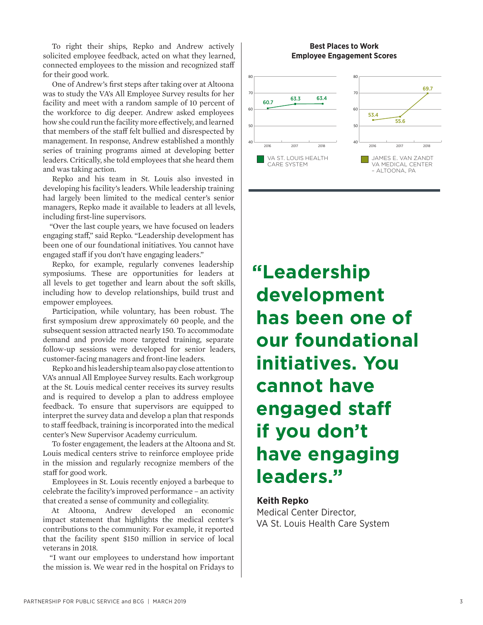To right their ships, Repko and Andrew actively solicited employee feedback, acted on what they learned, connected employees to the mission and recognized staff for their good work.

One of Andrew's first steps after taking over at Altoona was to study the VA's All Employee Survey results for her facility and meet with a random sample of 10 percent of the workforce to dig deeper. Andrew asked employees how she could run the facility more effectively, and learned that members of the staff felt bullied and disrespected by management. In response, Andrew established a monthly series of training programs aimed at developing better leaders. Critically, she told employees that she heard them and was taking action.

Repko and his team in St. Louis also invested in developing his facility's leaders. While leadership training had largely been limited to the medical center's senior managers, Repko made it available to leaders at all levels, including first-line supervisors.

"Over the last couple years, we have focused on leaders engaging staff," said Repko. "Leadership development has been one of our foundational initiatives. You cannot have engaged staff if you don't have engaging leaders."

Repko, for example, regularly convenes leadership symposiums. These are opportunities for leaders at all levels to get together and learn about the soft skills, including how to develop relationships, build trust and empower employees.

Participation, while voluntary, has been robust. The first symposium drew approximately 60 people, and the subsequent session attracted nearly 150. To accommodate demand and provide more targeted training, separate follow-up sessions were developed for senior leaders, customer-facing managers and front-line leaders.

Repko and his leadership team also pay close attention to VA's annual All Employee Survey results. Each workgroup at the St. Louis medical center receives its survey results and is required to develop a plan to address employee feedback. To ensure that supervisors are equipped to interpret the survey data and develop a plan that responds to staff feedback, training is incorporated into the medical center's New Supervisor Academy curriculum.

To foster engagement, the leaders at the Altoona and St. Louis medical centers strive to reinforce employee pride in the mission and regularly recognize members of the staff for good work.

Employees in St. Louis recently enjoyed a barbeque to celebrate the facility's improved performance – an activity that created a sense of community and collegiality.

At Altoona, Andrew developed an economic impact statement that highlights the medical center's contributions to the community. For example, it reported that the facility spent \$150 million in service of local veterans in 2018.

"I want our employees to understand how important the mission is. We wear red in the hospital on Fridays to

#### **Best Places to Work Employee Engagement Scores**



**"Leadership development has been one of our foundational initiatives. You cannot have engaged staff if you don't have engaging leaders."**

#### **Keith Repko**

Medical Center Director, VA St. Louis Health Care System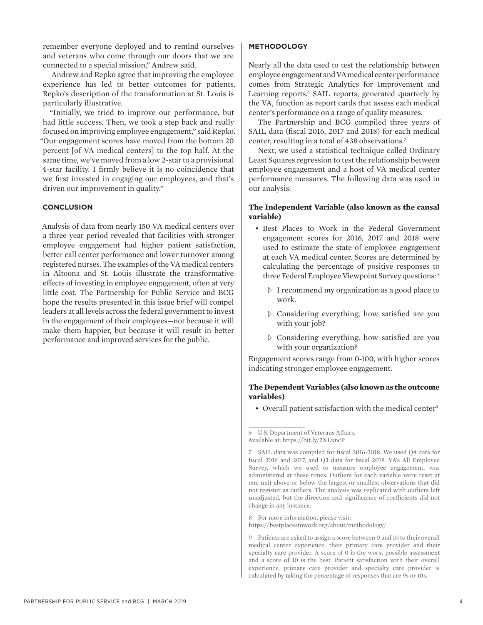remember everyone deployed and to remind ourselves and veterans who come through our doors that we are connected to a special mission," Andrew said.

Andrew and Repko agree that improving the employee experience has led to better outcomes for patients. Repko's description of the transformation at St. Louis is particularly illustrative.

"Initially, we tried to improve our performance, but had little success. Then, we took a step back and really focused on improving employee engagement," said Repko. "Our engagement scores have moved from the bottom 20 percent [of VA medical centers] to the top half. At the same time, we've moved from a low 2-star to a provisional 4-star facility. I firmly believe it is no coincidence that we first invested in engaging our employees, and that's driven our improvement in quality."

#### **CONCLUSION**

Analysis of data from nearly 150 VA medical centers over a three-year period revealed that facilities with stronger employee engagement had higher patient satisfaction, better call center performance and lower turnover among registered nurses. The examples of the VA medical centers in Altoona and St. Louis illustrate the transformative effects of investing in employee engagement, often at very little cost. The Partnership for Public Service and BCG hope the results presented in this issue brief will compel leaders at all levels across the federal government to invest in the engagement of their employees—not because it will make them happier, but because it will result in better performance and improved services for the public.

#### **METHODOLOGY**

Nearly all the data used to test the relationship between employee engagement and VA medical center performance comes from Strategic Analytics for Improvement and Learning reports.<sup>6</sup> SAIL reports, generated quarterly by the VA, function as report cards that assess each medical center's performance on a range of quality measures.

The Partnership and BCG compiled three years of SAIL data (fiscal 2016, 2017 and 2018) for each medical center, resulting in a total of 438 observations.7

Next, we used a statistical technique called Ordinary Least Squares regression to test the relationship between employee engagement and a host of VA medical center performance measures. The following data was used in our analysis:

#### **The Independent Variable (also known as the causal variable)**

- Best Places to Work in the Federal Government engagement scores for 2016, 2017 and 2018 were used to estimate the state of employee engagement at each VA medical center. Scores are determined by calculating the percentage of positive responses to three Federal Employee Viewpoint Survey questions: 8
	- $\triangleright$  I recommend my organization as a good place to work.
	- $\triangleright$  Considering everything, how satisfied are you with your job?
	- Ȱ Considering everything, how satisfied are you with your organization?

Engagement scores range from 0-100, with higher scores indicating stronger employee engagement.

#### **The Dependent Variables (also known as the outcome variables)**

• Overall patient satisfaction with the medical center<sup>9</sup>

- 8 For more information, please visit:
- https://bestplacestowork.org/about/methodology/

<sup>6</sup> U.S. Department of Veterans Affairs. Available at: https://bit.ly/2XLxncP

<sup>7</sup> SAIL data was compiled for fiscal 2016-2018. We used Q4 data for fiscal 2016 and 2017, and Q3 data for fiscal 2018. VA's All Employee Survey, which we used to measure employee engagement, was administered at these times. Outliers for each variable were reset at one unit above or below the largest or smallest observations that did not register as outliers. The analysis was replicated with outliers left unadjusted, but the direction and significance of coefficients did not change in any instance.

<sup>9</sup> Patients are asked to assign a score between 0 and 10 to their overall medical center experience, their primary care provider and their specialty care provider. A score of 0 is the worst possible assessment and a score of 10 is the best. Patient satisfaction with their overall experience, primary care provider and specialty care provider is calculated by taking the percentage of responses that are 9s or 10s.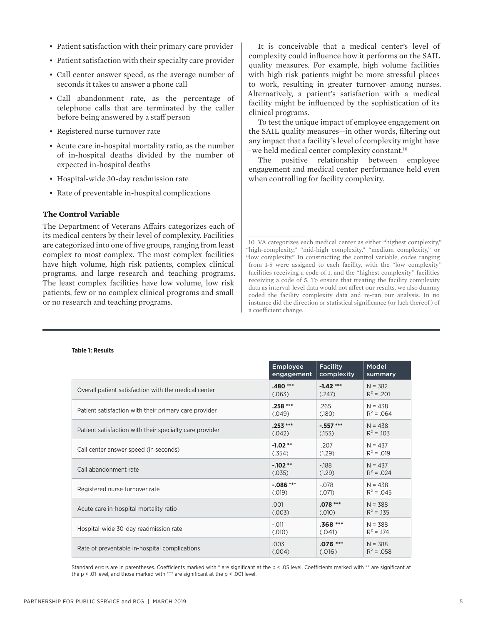- Patient satisfaction with their primary care provider
- Patient satisfaction with their specialty care provider
- Call center answer speed, as the average number of seconds it takes to answer a phone call
- Call abandonment rate, as the percentage of telephone calls that are terminated by the caller before being answered by a staff person
- Registered nurse turnover rate
- Acute care in-hospital mortality ratio, as the number of in-hospital deaths divided by the number of expected in-hospital deaths
- Hospital-wide 30-day readmission rate
- Rate of preventable in-hospital complications

#### **The Control Variable**

The Department of Veterans Affairs categorizes each of its medical centers by their level of complexity. Facilities are categorized into one of five groups, ranging from least complex to most complex. The most complex facilities have high volume, high risk patients, complex clinical programs, and large research and teaching programs. The least complex facilities have low volume, low risk patients, few or no complex clinical programs and small or no research and teaching programs.

It is conceivable that a medical center's level of complexity could influence how it performs on the SAIL quality measures. For example, high volume facilities with high risk patients might be more stressful places to work, resulting in greater turnover among nurses. Alternatively, a patient's satisfaction with a medical facility might be influenced by the sophistication of its clinical programs.

To test the unique impact of employee engagement on the SAIL quality measures—in other words, filtering out any impact that a facility's level of complexity might have —we held medical center complexity constant.10

The positive relationship between employee engagement and medical center performance held even when controlling for facility complexity.

10 VA categorizes each medical center as either "highest complexity," "high-complexity," "mid-high complexity," "medium complexity," or "low complexity." In constructing the control variable, codes ranging from 1-5 were assigned to each facility, with the "low complexity" facilities receiving a code of 1, and the "highest complexity" facilities receiving a code of 5. To ensure that treating the facility complexity data as interval-level data would not affect our results, we also dummy coded the facility complexity data and re-ran our analysis. In no instance did the direction or statistical significance (or lack thereof ) of a coefficient change.

|                                                         | <b>Employee</b> | <b>Facility</b> | Model        |
|---------------------------------------------------------|-----------------|-----------------|--------------|
|                                                         | engagement      | complexity      | summary      |
| Overall patient satisfaction with the medical center    | $.480***$       | $-1.42***$      | $N = 382$    |
|                                                         | (.063)          | (.247)          | $R^2$ = .201 |
| Patient satisfaction with their primary care provider   | $.258***$       | .265            | $N = 438$    |
|                                                         | (.049)          | (.180)          | $R^2 = .064$ |
| Patient satisfaction with their specialty care provider | $.253***$       | $-.557***$      | $N = 438$    |
|                                                         | (.042)          | (.153)          | $R^2$ = .103 |
| Call center answer speed (in seconds)                   | $-1.02**$       | .207            | $N = 437$    |
|                                                         | (.354)          | (1.29)          | $R^2 = .019$ |
| Call abandonment rate                                   | $-102**$        | $-188$          | $N = 437$    |
|                                                         | (.035)          | (1.29)          | $R^2 = .024$ |
| Registered nurse turnover rate                          | $-0.086***$     | $-.078$         | $N = 438$    |
|                                                         | (.019)          | (.071)          | $R^2 = .045$ |
| Acute care in-hospital mortality ratio                  | .001            | $.078***$       | $N = 388$    |
|                                                         | (.003)          | (.010)          | $R^2$ = .135 |
| Hospital-wide 30-day readmission rate                   | $-.011$         | $.368***$       | $N = 388$    |
|                                                         | (.010)          | (.041)          | $R^2$ = .174 |
| Rate of preventable in-hospital complications           | .003            | $.076***$       | $N = 388$    |
|                                                         | (.004)          | (.016)          | $R^2$ = .058 |

### **Table 1: Results**

Standard errors are in parentheses. Coefficients marked with \* are significant at the p < .05 level. Coefficients marked with \*\* are significant at the p < .01 level, and those marked with \*\*\* are significant at the p < .001 level.